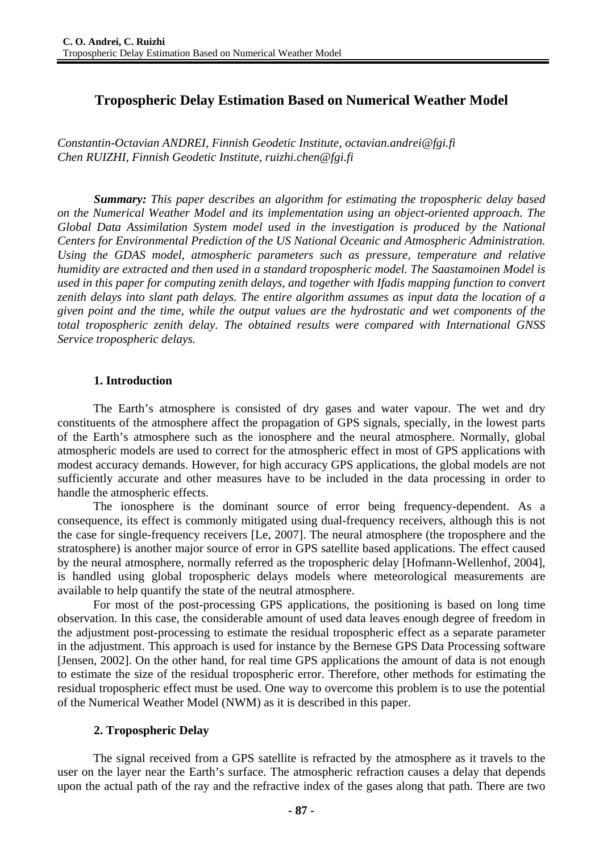# **Tropospheric Delay Estimation Based on Numerical Weather Model**

*Constantin-Octavian ANDREI, Finnish Geodetic Institute, octavian.andrei@fgi.fi Chen RUIZHI, Finnish Geodetic Institute, ruizhi.chen@fgi.fi* 

*Summary: This paper describes an algorithm for estimating the tropospheric delay based on the Numerical Weather Model and its implementation using an object-oriented approach. The Global Data Assimilation System model used in the investigation is produced by the National Centers for Environmental Prediction of the US National Oceanic and Atmospheric Administration. Using the GDAS model, atmospheric parameters such as pressure, temperature and relative humidity are extracted and then used in a standard tropospheric model. The Saastamoinen Model is used in this paper for computing zenith delays, and together with Ifadis mapping function to convert zenith delays into slant path delays. The entire algorithm assumes as input data the location of a given point and the time, while the output values are the hydrostatic and wet components of the total tropospheric zenith delay. The obtained results were compared with International GNSS Service tropospheric delays.* 

### **1. Introduction**

The Earth's atmosphere is consisted of dry gases and water vapour. The wet and dry constituents of the atmosphere affect the propagation of GPS signals, specially, in the lowest parts of the Earth's atmosphere such as the ionosphere and the neural atmosphere. Normally, global atmospheric models are used to correct for the atmospheric effect in most of GPS applications with modest accuracy demands. However, for high accuracy GPS applications, the global models are not sufficiently accurate and other measures have to be included in the data processing in order to handle the atmospheric effects.

The ionosphere is the dominant source of error being frequency-dependent. As a consequence, its effect is commonly mitigated using dual-frequency receivers, although this is not the case for single-frequency receivers [Le, 2007]. The neural atmosphere (the troposphere and the stratosphere) is another major source of error in GPS satellite based applications. The effect caused by the neural atmosphere, normally referred as the tropospheric delay [Hofmann-Wellenhof, 2004], is handled using global tropospheric delays models where meteorological measurements are available to help quantify the state of the neutral atmosphere.

For most of the post-processing GPS applications, the positioning is based on long time observation. In this case, the considerable amount of used data leaves enough degree of freedom in the adjustment post-processing to estimate the residual tropospheric effect as a separate parameter in the adjustment. This approach is used for instance by the Bernese GPS Data Processing software [Jensen, 2002]. On the other hand, for real time GPS applications the amount of data is not enough to estimate the size of the residual tropospheric error. Therefore, other methods for estimating the residual tropospheric effect must be used. One way to overcome this problem is to use the potential of the Numerical Weather Model (NWM) as it is described in this paper.

### **2. Tropospheric Delay**

The signal received from a GPS satellite is refracted by the atmosphere as it travels to the user on the layer near the Earth's surface. The atmospheric refraction causes a delay that depends upon the actual path of the ray and the refractive index of the gases along that path. There are two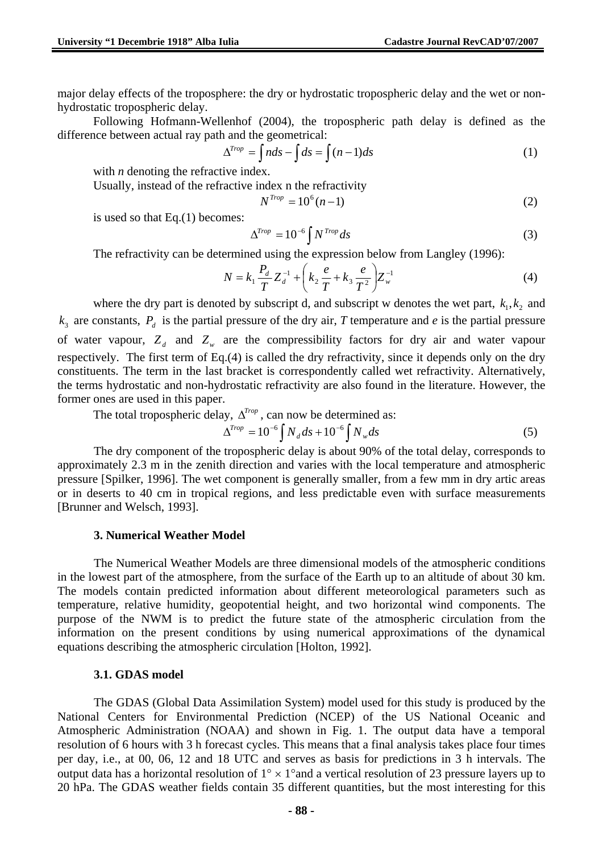major delay effects of the troposphere: the dry or hydrostatic tropospheric delay and the wet or nonhydrostatic tropospheric delay.

Following Hofmann-Wellenhof (2004), the tropospheric path delay is defined as the difference between actual ray path and the geometrical:

$$
\Delta^{Trop} = \int nds - \int ds = \int (n-1)ds \tag{1}
$$

with *n* denoting the refractive index.

Usually, instead of the refractive index n the refractivity

$$
N^{Trop} = 10^6 (n-1)
$$
 (2)

is used so that Eq.(1) becomes:

$$
\Delta^{Trop} = 10^{-6} \int N^{Trop} ds \tag{3}
$$

The refractivity can be determined using the expression below from Langley (1996):

$$
N = k_1 \frac{P_d}{T} Z_d^{-1} + \left(k_2 \frac{e}{T} + k_3 \frac{e}{T^2}\right) Z_w^{-1}
$$
 (4)

where the dry part is denoted by subscript d, and subscript w denotes the wet part,  $k_1, k_2$  and  $k_3$  are constants,  $P_d$  is the partial pressure of the dry air, *T* temperature and *e* is the partial pressure of water vapour,  $Z_d$  and  $Z_w$  are the compressibility factors for dry air and water vapour respectively. The first term of Eq.(4) is called the dry refractivity, since it depends only on the dry constituents. The term in the last bracket is correspondently called wet refractivity. Alternatively, the terms hydrostatic and non-hydrostatic refractivity are also found in the literature. However, the former ones are used in this paper.

The total tropospheric delay,  $\Delta^{Trop}$ , can now be determined as:

$$
\Delta^{Trop} = 10^{-6} \int N_d ds + 10^{-6} \int N_w ds \tag{5}
$$

The dry component of the tropospheric delay is about 90% of the total delay, corresponds to approximately 2.3 m in the zenith direction and varies with the local temperature and atmospheric pressure [Spilker, 1996]. The wet component is generally smaller, from a few mm in dry artic areas or in deserts to 40 cm in tropical regions, and less predictable even with surface measurements [Brunner and Welsch, 1993].

#### **3. Numerical Weather Model**

The Numerical Weather Models are three dimensional models of the atmospheric conditions in the lowest part of the atmosphere, from the surface of the Earth up to an altitude of about 30 km. The models contain predicted information about different meteorological parameters such as temperature, relative humidity, geopotential height, and two horizontal wind components. The purpose of the NWM is to predict the future state of the atmospheric circulation from the information on the present conditions by using numerical approximations of the dynamical equations describing the atmospheric circulation [Holton, 1992].

#### **3.1. GDAS model**

The GDAS (Global Data Assimilation System) model used for this study is produced by the National Centers for Environmental Prediction (NCEP) of the US National Oceanic and Atmospheric Administration (NOAA) and shown in Fig. 1. The output data have a temporal resolution of 6 hours with 3 h forecast cycles. This means that a final analysis takes place four times per day, i.e., at 00, 06, 12 and 18 UTC and serves as basis for predictions in 3 h intervals. The output data has a horizontal resolution of  $1^{\circ} \times 1^{\circ}$  and a vertical resolution of 23 pressure layers up to 20 hPa. The GDAS weather fields contain 35 different quantities, but the most interesting for this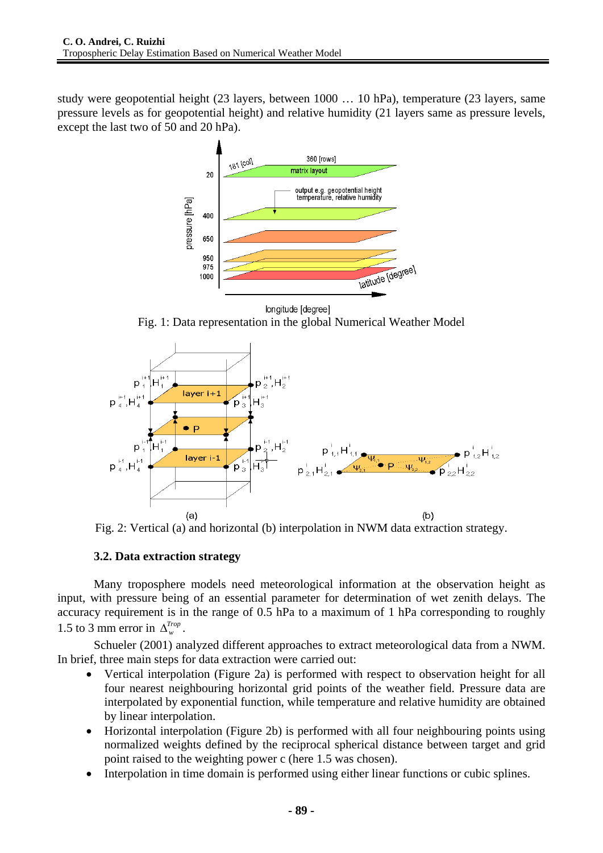study were geopotential height (23 layers, between 1000 … 10 hPa), temperature (23 layers, same pressure levels as for geopotential height) and relative humidity (21 layers same as pressure levels, except the last two of 50 and 20 hPa).



longitude [degree]

Fig. 1: Data representation in the global Numerical Weather Model





## **3.2. Data extraction strategy**

Many troposphere models need meteorological information at the observation height as input, with pressure being of an essential parameter for determination of wet zenith delays. The accuracy requirement is in the range of 0.5 hPa to a maximum of 1 hPa corresponding to roughly 1.5 to 3 mm error in  $\Delta_{w}^{Trop}$ .

Schueler (2001) analyzed different approaches to extract meteorological data from a NWM. In brief, three main steps for data extraction were carried out:

- Vertical interpolation (Figure 2a) is performed with respect to observation height for all four nearest neighbouring horizontal grid points of the weather field. Pressure data are interpolated by exponential function, while temperature and relative humidity are obtained by linear interpolation.
- Horizontal interpolation (Figure 2b) is performed with all four neighbouring points using normalized weights defined by the reciprocal spherical distance between target and grid point raised to the weighting power c (here 1.5 was chosen).
- Interpolation in time domain is performed using either linear functions or cubic splines.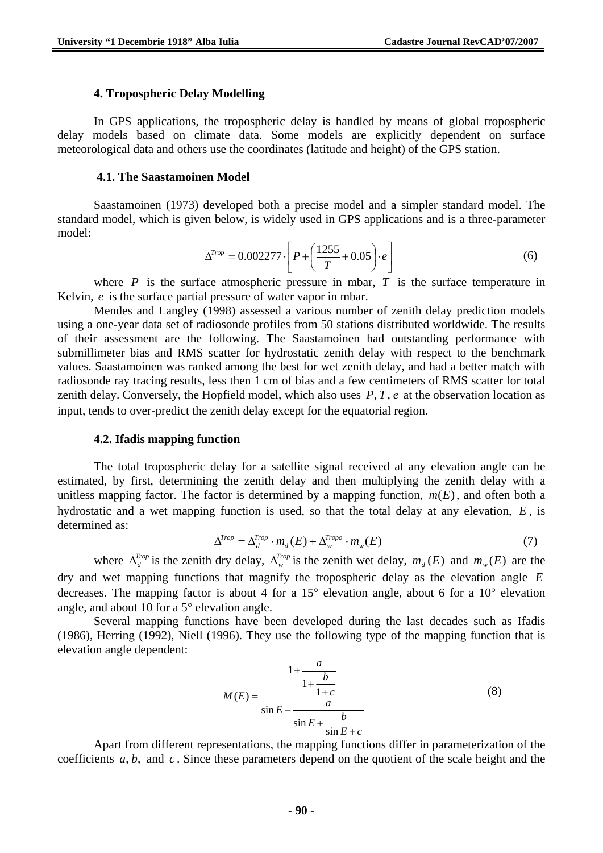#### **4. Tropospheric Delay Modelling**

In GPS applications, the tropospheric delay is handled by means of global tropospheric delay models based on climate data. Some models are explicitly dependent on surface meteorological data and others use the coordinates (latitude and height) of the GPS station.

#### **4.1. The Saastamoinen Model**

Saastamoinen (1973) developed both a precise model and a simpler standard model. The standard model, which is given below, is widely used in GPS applications and is a three-parameter model:

$$
\Delta^{Trop} = 0.002277 \cdot \left[ P + \left( \frac{1255}{T} + 0.05 \right) \cdot e \right]
$$
 (6)

where  $P$  is the surface atmospheric pressure in mbar,  $T$  is the surface temperature in Kelvin, *e* is the surface partial pressure of water vapor in mbar.

Mendes and Langley (1998) assessed a various number of zenith delay prediction models using a one-year data set of radiosonde profiles from 50 stations distributed worldwide. The results of their assessment are the following. The Saastamoinen had outstanding performance with submillimeter bias and RMS scatter for hydrostatic zenith delay with respect to the benchmark values. Saastamoinen was ranked among the best for wet zenith delay, and had a better match with radiosonde ray tracing results, less then 1 cm of bias and a few centimeters of RMS scatter for total zenith delay. Conversely, the Hopfield model, which also uses  $P, T, e$  at the observation location as input, tends to over-predict the zenith delay except for the equatorial region.

#### **4.2. Ifadis mapping function**

The total tropospheric delay for a satellite signal received at any elevation angle can be estimated, by first, determining the zenith delay and then multiplying the zenith delay with a unitless mapping factor. The factor is determined by a mapping function,  $m(E)$ , and often both a hydrostatic and a wet mapping function is used, so that the total delay at any elevation, *E* , is determined as:

$$
\Delta^{Trop} = \Delta_d^{Trop} \cdot m_d(E) + \Delta_w^{Tropo} \cdot m_w(E) \tag{7}
$$

where  $\Delta_A^{Trop}$  is the zenith dry delay,  $\Delta_w^{Trop}$  is the zenith wet delay,  $m_d(E)$  and  $m_w(E)$  are the dry and wet mapping functions that magnify the tropospheric delay as the elevation angle *E* decreases. The mapping factor is about 4 for a 15° elevation angle, about 6 for a 10° elevation angle, and about 10 for a 5° elevation angle.

Several mapping functions have been developed during the last decades such as Ifadis (1986), Herring (1992), Niell (1996). They use the following type of the mapping function that is elevation angle dependent:

$$
M(E) = \frac{1 + \frac{a}{1 + \frac{b}{1 + c}}}{\sin E + \frac{a}{\sin E + \frac{b}{\sin E + c}}}
$$
(8)

Apart from different representations, the mapping functions differ in parameterization of the coefficients  $a, b$ , and  $c$ . Since these parameters depend on the quotient of the scale height and the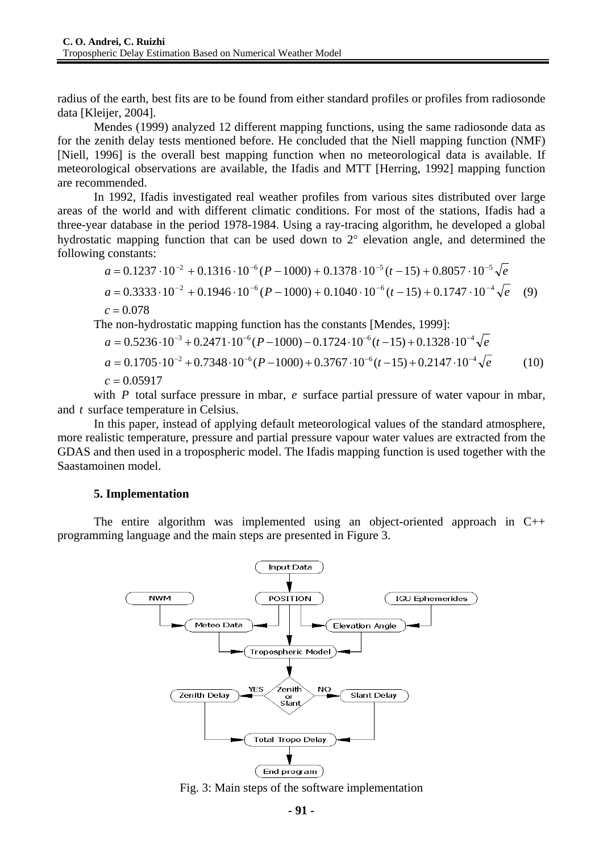radius of the earth, best fits are to be found from either standard profiles or profiles from radiosonde data [Kleijer, 2004].

Mendes (1999) analyzed 12 different mapping functions, using the same radiosonde data as for the zenith delay tests mentioned before. He concluded that the Niell mapping function (NMF) [Niell, 1996] is the overall best mapping function when no meteorological data is available. If meteorological observations are available, the Ifadis and MTT [Herring, 1992] mapping function are recommended.

In 1992, Ifadis investigated real weather profiles from various sites distributed over large areas of the world and with different climatic conditions. For most of the stations, Ifadis had a three-year database in the period 1978-1984. Using a ray-tracing algorithm, he developed a global hydrostatic mapping function that can be used down to 2° elevation angle, and determined the following constants:

$$
a = 0.1237 \cdot 10^{-2} + 0.1316 \cdot 10^{-6} (P - 1000) + 0.1378 \cdot 10^{-5} (t - 15) + 0.8057 \cdot 10^{-5} \sqrt{e}
$$
  
\n
$$
a = 0.3333 \cdot 10^{-2} + 0.1946 \cdot 10^{-6} (P - 1000) + 0.1040 \cdot 10^{-6} (t - 15) + 0.1747 \cdot 10^{-4} \sqrt{e}
$$
 (9)  
\n
$$
c = 0.078
$$

The non-hydrostatic mapping function has the constants [Mendes, 1999]:

$$
a = 0.5236 \cdot 10^{-3} + 0.2471 \cdot 10^{-6} (P - 1000) - 0.1724 \cdot 10^{-6} (t - 15) + 0.1328 \cdot 10^{-4} \sqrt{e}
$$
  
\n
$$
a = 0.1705 \cdot 10^{-2} + 0.7348 \cdot 10^{-6} (P - 1000) + 0.3767 \cdot 10^{-6} (t - 15) + 0.2147 \cdot 10^{-4} \sqrt{e}
$$
(10)  
\n
$$
c = 0.05917
$$

with *P* total surface pressure in mbar, *e* surface partial pressure of water vapour in mbar, and *t* surface temperature in Celsius.

In this paper, instead of applying default meteorological values of the standard atmosphere, more realistic temperature, pressure and partial pressure vapour water values are extracted from the GDAS and then used in a tropospheric model. The Ifadis mapping function is used together with the Saastamoinen model.

#### **5. Implementation**

The entire algorithm was implemented using an object-oriented approach in  $C_{++}$ programming language and the main steps are presented in Figure 3.



Fig. 3: Main steps of the software implementation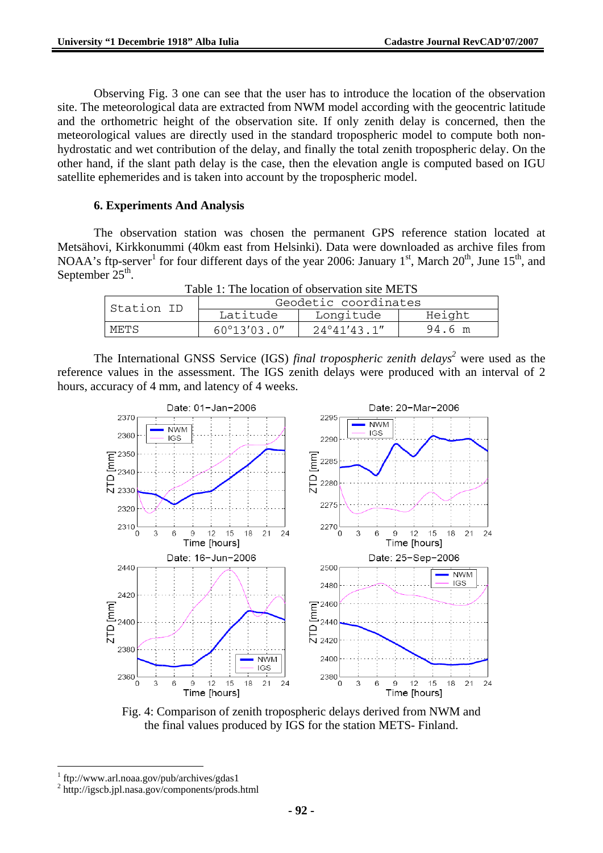Observing Fig. 3 one can see that the user has to introduce the location of the observation site. The meteorological data are extracted from NWM model according with the geocentric latitude and the orthometric height of the observation site. If only zenith delay is concerned, then the meteorological values are directly used in the standard tropospheric model to compute both nonhydrostatic and wet contribution of the delay, and finally the total zenith tropospheric delay. On the other hand, if the slant path delay is the case, then the elevation angle is computed based on IGU satellite ephemerides and is taken into account by the tropospheric model.

## **6. Experiments And Analysis**

The observation station was chosen the permanent GPS reference station located at Metsähovi, Kirkkonummi (40km east from Helsinki). Data were downloaded as archive files from NOAA's ftp-server<sup>1</sup> for four different days of the year 2006: January 1<sup>st</sup>, March 20<sup>th</sup>, June 15<sup>th</sup>, and September  $25<sup>th</sup>$ .

|  |  | Table 1: The location of observation site METS |  |
|--|--|------------------------------------------------|--|
|--|--|------------------------------------------------|--|

| Station ID | Geodetic coordinates  |                       |        |  |  |
|------------|-----------------------|-----------------------|--------|--|--|
|            | Latitude              | Longitude             |        |  |  |
| METS       | $60^{\circ}13'03.0''$ | $24^{\circ}41'43.1''$ | 94.6 m |  |  |

The International GNSS Service (IGS) *final tropospheric zenith delays*<sup>2</sup> were used as the reference values in the assessment. The IGS zenith delays were produced with an interval of 2 hours, accuracy of 4 mm, and latency of 4 weeks.



Fig. 4: Comparison of zenith tropospheric delays derived from NWM and the final values produced by IGS for the station METS- Finland.

 $\overline{a}$ 

<sup>1</sup> ftp://www.arl.noaa.gov/pub/archives/gdas1

<sup>2</sup> http://igscb.jpl.nasa.gov/components/prods.html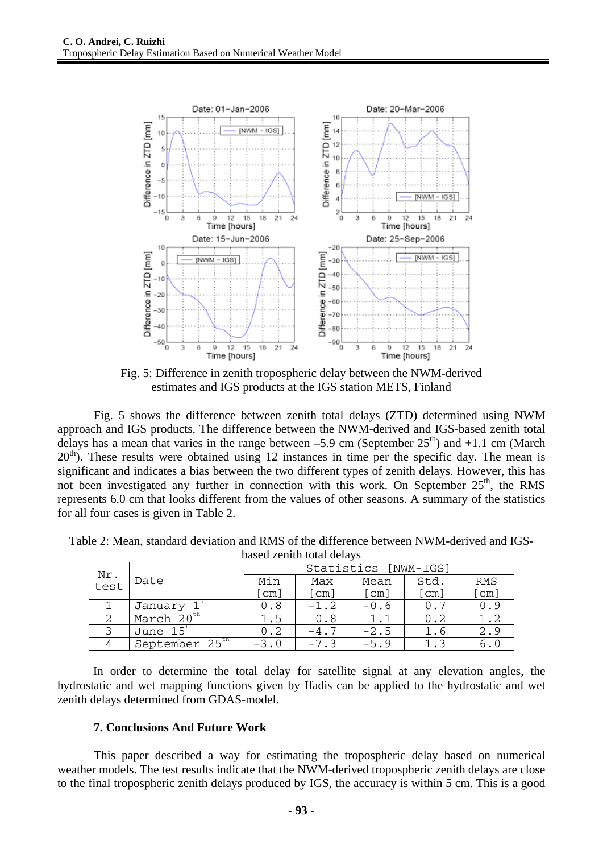

Fig. 5: Difference in zenith tropospheric delay between the NWM-derived estimates and IGS products at the IGS station METS, Finland

Fig. 5 shows the difference between zenith total delays (ZTD) determined using NWM approach and IGS products. The difference between the NWM-derived and IGS-based zenith total delays has a mean that varies in the range between  $-5.9$  cm (September  $25<sup>th</sup>$ ) and  $+1.1$  cm (March  $20<sup>th</sup>$ ). These results were obtained using 12 instances in time per the specific day. The mean is significant and indicates a bias between the two different types of zenith delays. However, this has not been investigated any further in connection with this work. On September  $25<sup>th</sup>$ , the RMS represents 6.0 cm that looks different from the values of other seasons. A summary of the statistics for all four cases is given in Table 2.

| bascu zchith total uchavs |                            |                      |                      |        |      |     |  |  |
|---------------------------|----------------------------|----------------------|----------------------|--------|------|-----|--|--|
|                           |                            | Statistics [NWM-IGS] |                      |        |      |     |  |  |
| Nr.<br>test               | Date                       | Min                  | Max                  | Mean   | Std. | RMS |  |  |
|                           |                            | [cm]                 | $\lceil$ cm $\rceil$ | [cm]   | cm]  | cm] |  |  |
|                           | 1 <sup>st</sup><br>January | 0.8                  | $-1.2$               | $-0.6$ | 0.7  | 0.9 |  |  |
|                           | March $20^{\text{th}}$     | 1.5                  | 0.8                  |        | 0.2  | 1.2 |  |  |
|                           | June                       | 0.2                  |                      | $-2.5$ | 1.6  | 2.9 |  |  |
|                           | September 25 <sup>th</sup> |                      |                      | $-5.9$ |      | 6.0 |  |  |

Table 2: Mean, standard deviation and RMS of the difference between NWM-derived and IGSbased zenith total delays

In order to determine the total delay for satellite signal at any elevation angles, the hydrostatic and wet mapping functions given by Ifadis can be applied to the hydrostatic and wet zenith delays determined from GDAS-model.

## **7. Conclusions And Future Work**

This paper described a way for estimating the tropospheric delay based on numerical weather models. The test results indicate that the NWM-derived tropospheric zenith delays are close to the final tropospheric zenith delays produced by IGS, the accuracy is within 5 cm. This is a good